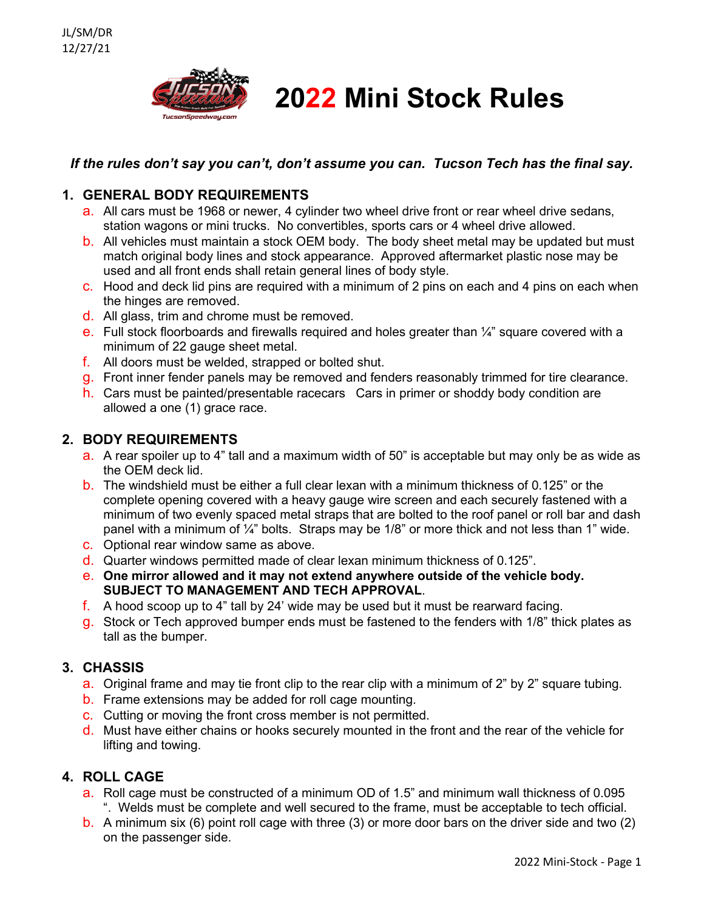

# *If the rules don't say you can't, don't assume you can. Tucson Tech has the final say.*

## **1. GENERAL BODY REQUIREMENTS**

- a. All cars must be 1968 or newer, 4 cylinder two wheel drive front or rear wheel drive sedans, station wagons or mini trucks. No convertibles, sports cars or 4 wheel drive allowed.
- b. All vehicles must maintain a stock OEM body. The body sheet metal may be updated but must match original body lines and stock appearance. Approved aftermarket plastic nose may be used and all front ends shall retain general lines of body style.
- c. Hood and deck lid pins are required with a minimum of 2 pins on each and 4 pins on each when the hinges are removed.
- d. All glass, trim and chrome must be removed.
- e. Full stock floorboards and firewalls required and holes greater than  $\frac{1}{4}$ " square covered with a minimum of 22 gauge sheet metal.
- f. All doors must be welded, strapped or bolted shut.
- g. Front inner fender panels may be removed and fenders reasonably trimmed for tire clearance.
- h. Cars must be painted/presentable racecars Cars in primer or shoddy body condition are allowed a one (1) grace race.

#### **2. BODY REQUIREMENTS**

- a. A rear spoiler up to 4" tall and a maximum width of 50" is acceptable but may only be as wide as the OEM deck lid.
- b. The windshield must be either a full clear lexan with a minimum thickness of 0.125" or the complete opening covered with a heavy gauge wire screen and each securely fastened with a minimum of two evenly spaced metal straps that are bolted to the roof panel or roll bar and dash panel with a minimum of  $\frac{1}{4}$ " bolts. Straps may be 1/8" or more thick and not less than 1" wide.
- c. Optional rear window same as above.
- d. Quarter windows permitted made of clear lexan minimum thickness of 0.125".
- e. **One mirror allowed and it may not extend anywhere outside of the vehicle body. SUBJECT TO MANAGEMENT AND TECH APPROVAL**.
- f. A hood scoop up to 4" tall by 24' wide may be used but it must be rearward facing.
- g. Stock or Tech approved bumper ends must be fastened to the fenders with 1/8" thick plates as tall as the bumper.

#### **3. CHASSIS**

- a. Original frame and may tie front clip to the rear clip with a minimum of 2" by 2" square tubing.
- b. Frame extensions may be added for roll cage mounting.
- c. Cutting or moving the front cross member is not permitted.
- d. Must have either chains or hooks securely mounted in the front and the rear of the vehicle for lifting and towing.

### **4. ROLL CAGE**

- a. Roll cage must be constructed of a minimum OD of 1.5" and minimum wall thickness of 0.095 ". Welds must be complete and well secured to the frame, must be acceptable to tech official.
- b. A minimum six (6) point roll cage with three (3) or more door bars on the driver side and two (2) on the passenger side.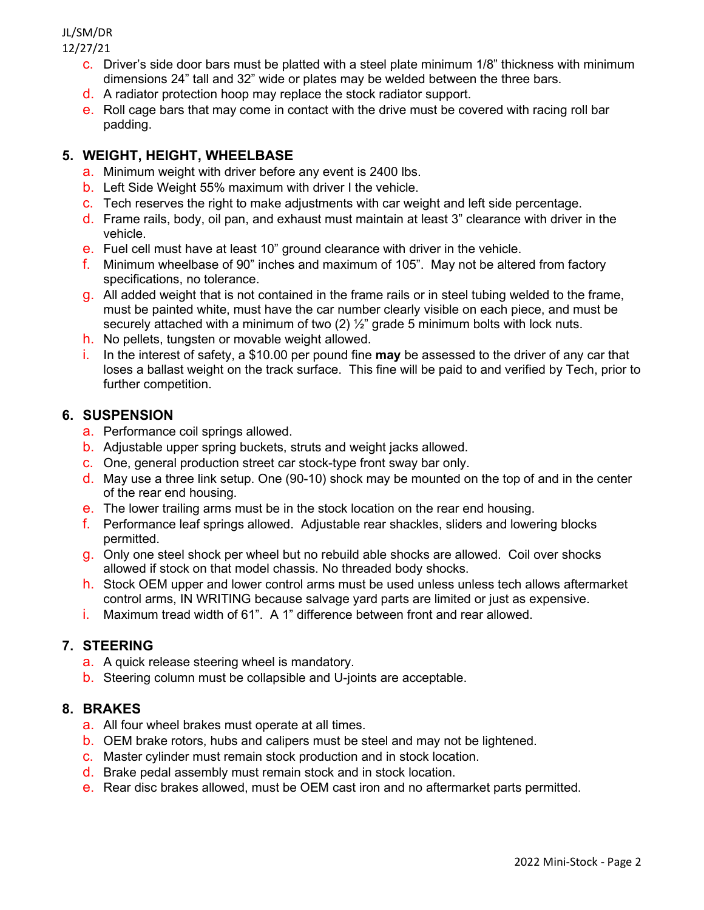12/27/21

- c. Driver's side door bars must be platted with a steel plate minimum 1/8" thickness with minimum dimensions 24" tall and 32" wide or plates may be welded between the three bars.
- d. A radiator protection hoop may replace the stock radiator support.
- e. Roll cage bars that may come in contact with the drive must be covered with racing roll bar padding.

# **5. WEIGHT, HEIGHT, WHEELBASE**

- a. Minimum weight with driver before any event is 2400 lbs.
- b. Left Side Weight 55% maximum with driver I the vehicle.
- c. Tech reserves the right to make adjustments with car weight and left side percentage.
- d. Frame rails, body, oil pan, and exhaust must maintain at least 3" clearance with driver in the vehicle.
- e. Fuel cell must have at least 10" ground clearance with driver in the vehicle.
- f. Minimum wheelbase of 90" inches and maximum of 105". May not be altered from factory specifications, no tolerance.
- g. All added weight that is not contained in the frame rails or in steel tubing welded to the frame, must be painted white, must have the car number clearly visible on each piece, and must be securely attached with a minimum of two  $(2)$   $\frac{1}{2}$ " grade 5 minimum bolts with lock nuts.
- h. No pellets, tungsten or movable weight allowed.
- i. In the interest of safety, a \$10.00 per pound fine **may** be assessed to the driver of any car that loses a ballast weight on the track surface. This fine will be paid to and verified by Tech, prior to further competition.

## **6. SUSPENSION**

- a. Performance coil springs allowed.
- b. Adjustable upper spring buckets, struts and weight jacks allowed.
- c. One, general production street car stock-type front sway bar only.
- d. May use a three link setup. One (90-10) shock may be mounted on the top of and in the center of the rear end housing.
- e. The lower trailing arms must be in the stock location on the rear end housing.
- f. Performance leaf springs allowed. Adjustable rear shackles, sliders and lowering blocks permitted.
- g. Only one steel shock per wheel but no rebuild able shocks are allowed. Coil over shocks allowed if stock on that model chassis. No threaded body shocks.
- h. Stock OEM upper and lower control arms must be used unless unless tech allows aftermarket control arms, IN WRITING because salvage yard parts are limited or just as expensive.
- i. Maximum tread width of 61". A 1" difference between front and rear allowed.

# **7. STEERING**

- a. A quick release steering wheel is mandatory.
- b. Steering column must be collapsible and U-joints are acceptable.

### **8. BRAKES**

- a. All four wheel brakes must operate at all times.
- b. OEM brake rotors, hubs and calipers must be steel and may not be lightened.
- c. Master cylinder must remain stock production and in stock location.
- d. Brake pedal assembly must remain stock and in stock location.
- e. Rear disc brakes allowed, must be OEM cast iron and no aftermarket parts permitted.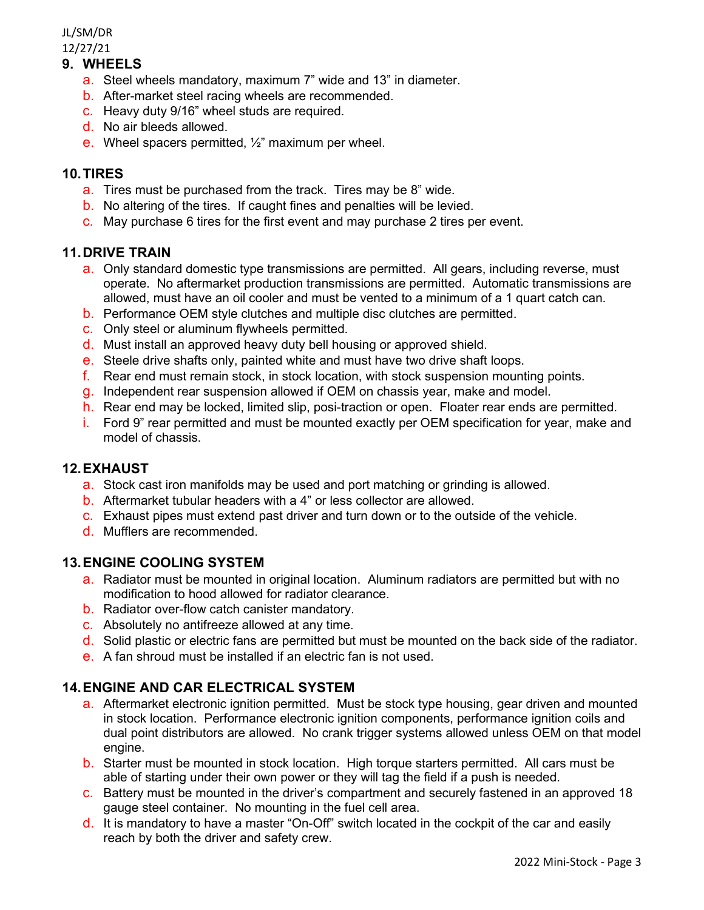#### 12/27/21

### **9. WHEELS**

- a. Steel wheels mandatory, maximum 7" wide and 13" in diameter.
- b. After-market steel racing wheels are recommended.
- c. Heavy duty 9/16" wheel studs are required.
- d. No air bleeds allowed.
- e. Wheel spacers permitted,  $\frac{1}{2}$ " maximum per wheel.

#### **10.TIRES**

- a. Tires must be purchased from the track. Tires may be 8" wide.
- b. No altering of the tires. If caught fines and penalties will be levied.
- c. May purchase 6 tires for the first event and may purchase 2 tires per event.

#### **11.DRIVE TRAIN**

- a. Only standard domestic type transmissions are permitted. All gears, including reverse, must operate. No aftermarket production transmissions are permitted. Automatic transmissions are allowed, must have an oil cooler and must be vented to a minimum of a 1 quart catch can.
- b. Performance OEM style clutches and multiple disc clutches are permitted.
- c. Only steel or aluminum flywheels permitted.
- d. Must install an approved heavy duty bell housing or approved shield.
- e. Steele drive shafts only, painted white and must have two drive shaft loops.
- f. Rear end must remain stock, in stock location, with stock suspension mounting points.
- g. Independent rear suspension allowed if OEM on chassis year, make and model.
- h. Rear end may be locked, limited slip, posi-traction or open. Floater rear ends are permitted.
- i. Ford 9" rear permitted and must be mounted exactly per OEM specification for year, make and model of chassis.

### **12.EXHAUST**

- a. Stock cast iron manifolds may be used and port matching or grinding is allowed.
- b. Aftermarket tubular headers with a 4" or less collector are allowed.
- c. Exhaust pipes must extend past driver and turn down or to the outside of the vehicle.
- d. Mufflers are recommended.

## **13.ENGINE COOLING SYSTEM**

- a. Radiator must be mounted in original location. Aluminum radiators are permitted but with no modification to hood allowed for radiator clearance.
- b. Radiator over-flow catch canister mandatory.
- c. Absolutely no antifreeze allowed at any time.
- d. Solid plastic or electric fans are permitted but must be mounted on the back side of the radiator.
- e. A fan shroud must be installed if an electric fan is not used.

# **14.ENGINE AND CAR ELECTRICAL SYSTEM**

- a. Aftermarket electronic ignition permitted. Must be stock type housing, gear driven and mounted in stock location. Performance electronic ignition components, performance ignition coils and dual point distributors are allowed. No crank trigger systems allowed unless OEM on that model engine.
- b. Starter must be mounted in stock location. High torque starters permitted. All cars must be able of starting under their own power or they will tag the field if a push is needed.
- c. Battery must be mounted in the driver's compartment and securely fastened in an approved 18 gauge steel container. No mounting in the fuel cell area.
- d. It is mandatory to have a master "On-Off" switch located in the cockpit of the car and easily reach by both the driver and safety crew.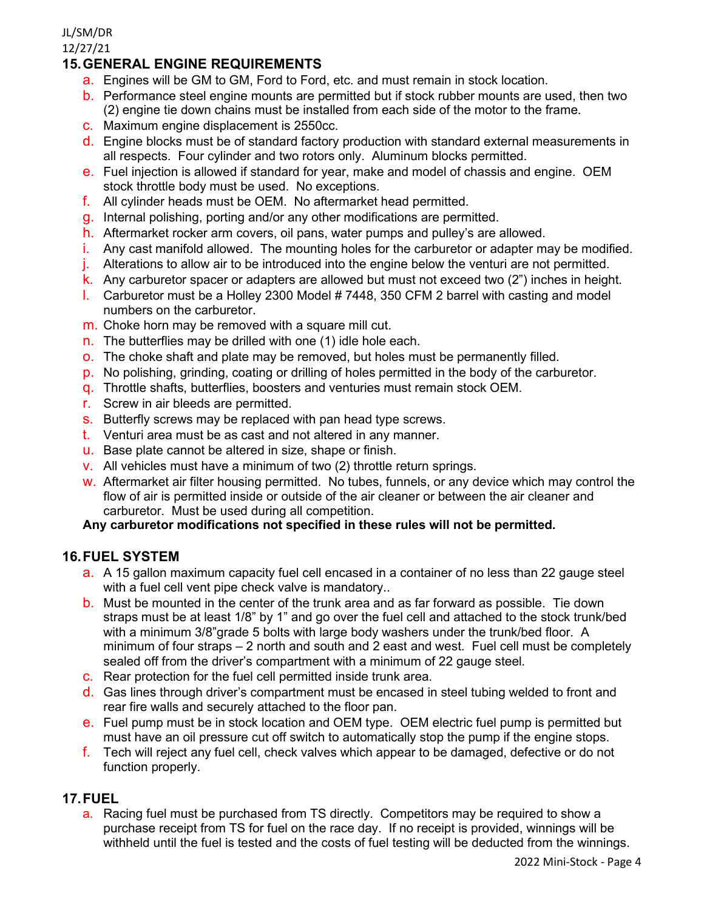12/27/21

## **15.GENERAL ENGINE REQUIREMENTS**

- a. Engines will be GM to GM, Ford to Ford, etc. and must remain in stock location.
- b. Performance steel engine mounts are permitted but if stock rubber mounts are used, then two (2) engine tie down chains must be installed from each side of the motor to the frame.
- c. Maximum engine displacement is 2550cc.
- d. Engine blocks must be of standard factory production with standard external measurements in all respects. Four cylinder and two rotors only. Aluminum blocks permitted.
- e. Fuel injection is allowed if standard for year, make and model of chassis and engine. OEM stock throttle body must be used. No exceptions.
- f. All cylinder heads must be OEM. No aftermarket head permitted.
- g. Internal polishing, porting and/or any other modifications are permitted.
- h. Aftermarket rocker arm covers, oil pans, water pumps and pulley's are allowed.
- i. Any cast manifold allowed. The mounting holes for the carburetor or adapter may be modified.
- j. Alterations to allow air to be introduced into the engine below the venturi are not permitted.
- $k.$  Any carburetor spacer or adapters are allowed but must not exceed two (2") inches in height.
- l. Carburetor must be a Holley 2300 Model # 7448, 350 CFM 2 barrel with casting and model numbers on the carburetor.
- m. Choke horn may be removed with a square mill cut.
- n. The butterflies may be drilled with one (1) idle hole each.
- o. The choke shaft and plate may be removed, but holes must be permanently filled.
- p. No polishing, grinding, coating or drilling of holes permitted in the body of the carburetor.
- q. Throttle shafts, butterflies, boosters and venturies must remain stock OEM.
- r. Screw in air bleeds are permitted.
- s. Butterfly screws may be replaced with pan head type screws.
- t. Venturi area must be as cast and not altered in any manner.
- u. Base plate cannot be altered in size, shape or finish.
- $\mathsf{v}$ . All vehicles must have a minimum of two (2) throttle return springs.
- w. Aftermarket air filter housing permitted. No tubes, funnels, or any device which may control the flow of air is permitted inside or outside of the air cleaner or between the air cleaner and carburetor. Must be used during all competition.

#### **Any carburetor modifications not specified in these rules will not be permitted.**

### **16.FUEL SYSTEM**

- a. A 15 gallon maximum capacity fuel cell encased in a container of no less than 22 gauge steel with a fuel cell vent pipe check valve is mandatory..
- b. Must be mounted in the center of the trunk area and as far forward as possible. Tie down straps must be at least 1/8" by 1" and go over the fuel cell and attached to the stock trunk/bed with a minimum 3/8"grade 5 bolts with large body washers under the trunk/bed floor. A minimum of four straps – 2 north and south and 2 east and west. Fuel cell must be completely sealed off from the driver's compartment with a minimum of 22 gauge steel.
- c. Rear protection for the fuel cell permitted inside trunk area.
- d. Gas lines through driver's compartment must be encased in steel tubing welded to front and rear fire walls and securely attached to the floor pan.
- e. Fuel pump must be in stock location and OEM type. OEM electric fuel pump is permitted but must have an oil pressure cut off switch to automatically stop the pump if the engine stops.
- f. Tech will reject any fuel cell, check valves which appear to be damaged, defective or do not function properly.

#### **17.FUEL**

a. Racing fuel must be purchased from TS directly. Competitors may be required to show a purchase receipt from TS for fuel on the race day. If no receipt is provided, winnings will be withheld until the fuel is tested and the costs of fuel testing will be deducted from the winnings.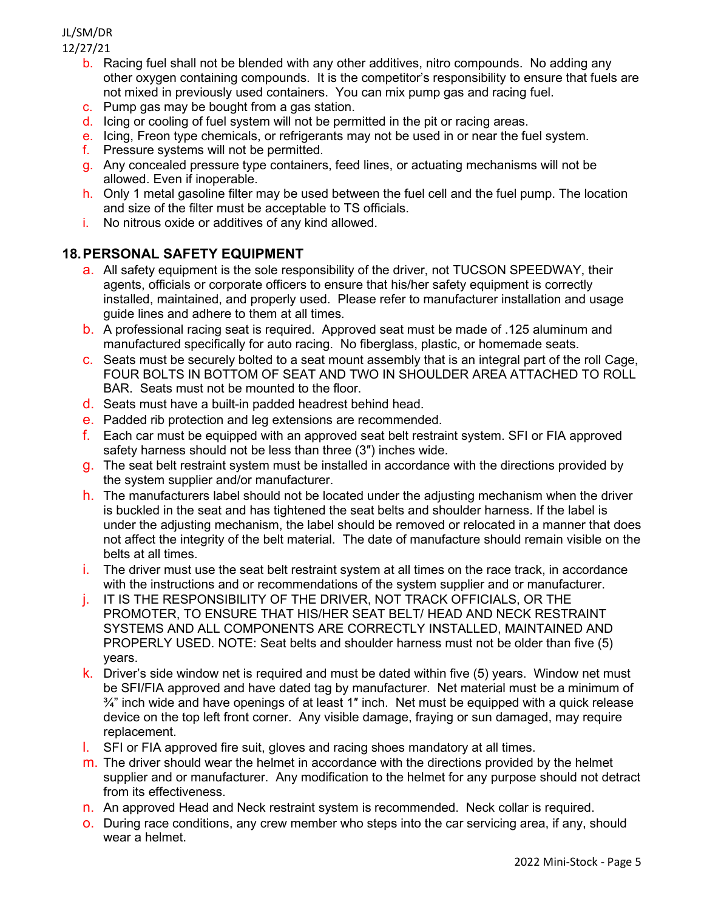12/27/21

- b. Racing fuel shall not be blended with any other additives, nitro compounds. No adding any other oxygen containing compounds. It is the competitor's responsibility to ensure that fuels are not mixed in previously used containers. You can mix pump gas and racing fuel.
- c. Pump gas may be bought from a gas station.
- d. Icing or cooling of fuel system will not be permitted in the pit or racing areas.
- e. Icing, Freon type chemicals, or refrigerants may not be used in or near the fuel system.
- f. Pressure systems will not be permitted.
- g. Any concealed pressure type containers, feed lines, or actuating mechanisms will not be allowed. Even if inoperable.
- h. Only 1 metal gasoline filter may be used between the fuel cell and the fuel pump. The location and size of the filter must be acceptable to TS officials.
- i. No nitrous oxide or additives of any kind allowed.

## **18.PERSONAL SAFETY EQUIPMENT**

- a. All safety equipment is the sole responsibility of the driver, not TUCSON SPEEDWAY, their agents, officials or corporate officers to ensure that his/her safety equipment is correctly installed, maintained, and properly used. Please refer to manufacturer installation and usage guide lines and adhere to them at all times.
- b. A professional racing seat is required. Approved seat must be made of .125 aluminum and manufactured specifically for auto racing. No fiberglass, plastic, or homemade seats.
- c. Seats must be securely bolted to a seat mount assembly that is an integral part of the roll Cage, FOUR BOLTS IN BOTTOM OF SEAT AND TWO IN SHOULDER AREA ATTACHED TO ROLL BAR. Seats must not be mounted to the floor.
- d. Seats must have a built-in padded headrest behind head.
- e. Padded rib protection and leg extensions are recommended.
- f. Each car must be equipped with an approved seat belt restraint system. SFI or FIA approved safety harness should not be less than three (3″) inches wide.
- g. The seat belt restraint system must be installed in accordance with the directions provided by the system supplier and/or manufacturer.
- h. The manufacturers label should not be located under the adjusting mechanism when the driver is buckled in the seat and has tightened the seat belts and shoulder harness. If the label is under the adjusting mechanism, the label should be removed or relocated in a manner that does not affect the integrity of the belt material. The date of manufacture should remain visible on the belts at all times.
- i. The driver must use the seat belt restraint system at all times on the race track, in accordance with the instructions and or recommendations of the system supplier and or manufacturer.
- j. IT IS THE RESPONSIBILITY OF THE DRIVER, NOT TRACK OFFICIALS, OR THE PROMOTER, TO ENSURE THAT HIS/HER SEAT BELT/ HEAD AND NECK RESTRAINT SYSTEMS AND ALL COMPONENTS ARE CORRECTLY INSTALLED, MAINTAINED AND PROPERLY USED. NOTE: Seat belts and shoulder harness must not be older than five (5) years.
- k. Driver's side window net is required and must be dated within five  $(5)$  years. Window net must be SFI/FIA approved and have dated tag by manufacturer. Net material must be a minimum of  $\frac{3}{4}$ " inch wide and have openings of at least 1" inch. Net must be equipped with a quick release device on the top left front corner. Any visible damage, fraying or sun damaged, may require replacement.
- l. SFI or FIA approved fire suit, gloves and racing shoes mandatory at all times.
- m. The driver should wear the helmet in accordance with the directions provided by the helmet supplier and or manufacturer. Any modification to the helmet for any purpose should not detract from its effectiveness.
- n. An approved Head and Neck restraint system is recommended. Neck collar is required.
- o. During race conditions, any crew member who steps into the car servicing area, if any, should wear a helmet.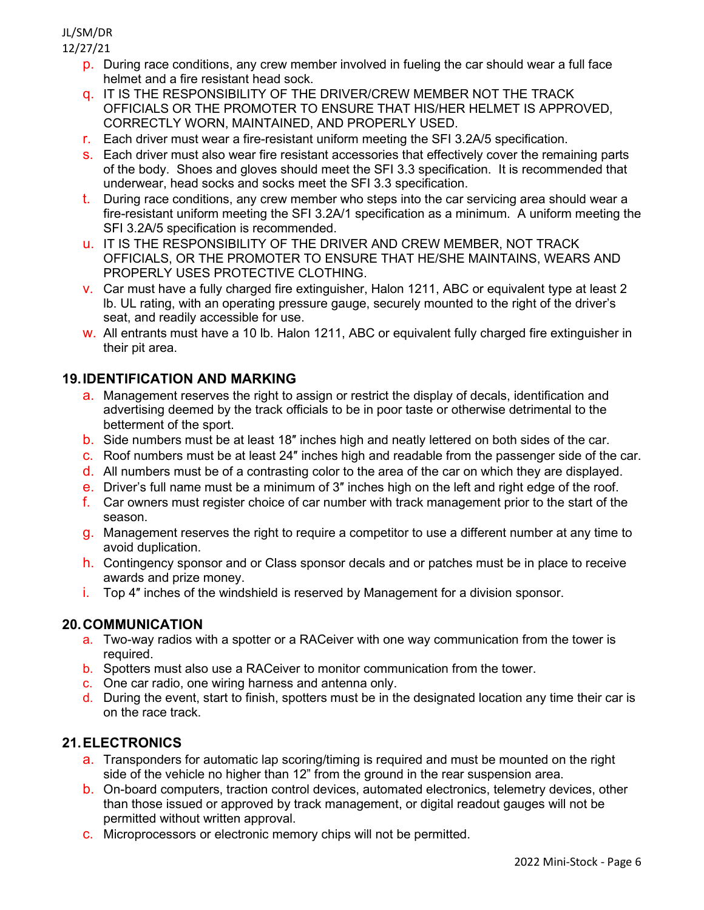#### JL/SM/DR 12/27/21

- p. During race conditions, any crew member involved in fueling the car should wear a full face helmet and a fire resistant head sock.
- q. IT IS THE RESPONSIBILITY OF THE DRIVER/CREW MEMBER NOT THE TRACK OFFICIALS OR THE PROMOTER TO ENSURE THAT HIS/HER HELMET IS APPROVED, CORRECTLY WORN, MAINTAINED, AND PROPERLY USED.
- r. Each driver must wear a fire-resistant uniform meeting the SFI 3.2A/5 specification.
- s. Each driver must also wear fire resistant accessories that effectively cover the remaining parts of the body. Shoes and gloves should meet the SFI 3.3 specification. It is recommended that underwear, head socks and socks meet the SFI 3.3 specification.
- t. During race conditions, any crew member who steps into the car servicing area should wear a fire-resistant uniform meeting the SFI 3.2A/1 specification as a minimum. A uniform meeting the SFI 3.2A/5 specification is recommended.
- u. IT IS THE RESPONSIBILITY OF THE DRIVER AND CREW MEMBER, NOT TRACK OFFICIALS, OR THE PROMOTER TO ENSURE THAT HE/SHE MAINTAINS, WEARS AND PROPERLY USES PROTECTIVE CLOTHING.
- v. Car must have a fully charged fire extinguisher, Halon 1211, ABC or equivalent type at least 2 lb. UL rating, with an operating pressure gauge, securely mounted to the right of the driver's seat, and readily accessible for use.
- w. All entrants must have a 10 lb. Halon 1211, ABC or equivalent fully charged fire extinguisher in their pit area.

## **19.IDENTIFICATION AND MARKING**

- a. Management reserves the right to assign or restrict the display of decals, identification and advertising deemed by the track officials to be in poor taste or otherwise detrimental to the betterment of the sport.
- b. Side numbers must be at least 18″ inches high and neatly lettered on both sides of the car.
- c. Roof numbers must be at least 24″ inches high and readable from the passenger side of the car.
- d. All numbers must be of a contrasting color to the area of the car on which they are displayed.
- e. Driver's full name must be a minimum of 3″ inches high on the left and right edge of the roof.
- f. Car owners must register choice of car number with track management prior to the start of the season.
- g. Management reserves the right to require a competitor to use a different number at any time to avoid duplication.
- h. Contingency sponsor and or Class sponsor decals and or patches must be in place to receive awards and prize money.
- i. Top 4" inches of the windshield is reserved by Management for a division sponsor.

### **20.COMMUNICATION**

- a. Two-way radios with a spotter or a RACeiver with one way communication from the tower is required.
- b. Spotters must also use a RACeiver to monitor communication from the tower.
- c. One car radio, one wiring harness and antenna only.
- d. During the event, start to finish, spotters must be in the designated location any time their car is on the race track.

### **21.ELECTRONICS**

- a. Transponders for automatic lap scoring/timing is required and must be mounted on the right side of the vehicle no higher than 12" from the ground in the rear suspension area.
- b. On-board computers, traction control devices, automated electronics, telemetry devices, other than those issued or approved by track management, or digital readout gauges will not be permitted without written approval.
- c. Microprocessors or electronic memory chips will not be permitted.